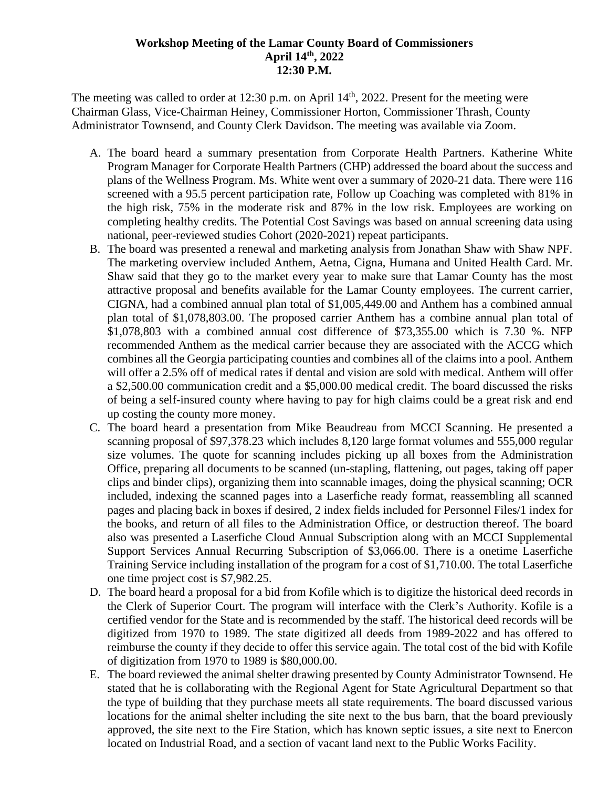## **Workshop Meeting of the Lamar County Board of Commissioners April 14th, 2022 12:30 P.M.**

The meeting was called to order at  $12:30$  p.m. on April  $14<sup>th</sup>$ , 2022. Present for the meeting were Chairman Glass, Vice-Chairman Heiney, Commissioner Horton, Commissioner Thrash, County Administrator Townsend, and County Clerk Davidson. The meeting was available via Zoom.

- A. The board heard a summary presentation from Corporate Health Partners. Katherine White Program Manager for Corporate Health Partners (CHP) addressed the board about the success and plans of the Wellness Program. Ms. White went over a summary of 2020-21 data. There were 116 screened with a 95.5 percent participation rate, Follow up Coaching was completed with 81% in the high risk, 75% in the moderate risk and 87% in the low risk. Employees are working on completing healthy credits. The Potential Cost Savings was based on annual screening data using national, peer-reviewed studies Cohort (2020-2021) repeat participants.
- B. The board was presented a renewal and marketing analysis from Jonathan Shaw with Shaw NPF. The marketing overview included Anthem, Aetna, Cigna, Humana and United Health Card. Mr. Shaw said that they go to the market every year to make sure that Lamar County has the most attractive proposal and benefits available for the Lamar County employees. The current carrier, CIGNA, had a combined annual plan total of \$1,005,449.00 and Anthem has a combined annual plan total of \$1,078,803.00. The proposed carrier Anthem has a combine annual plan total of \$1,078,803 with a combined annual cost difference of \$73,355.00 which is 7.30 %. NFP recommended Anthem as the medical carrier because they are associated with the ACCG which combines all the Georgia participating counties and combines all of the claims into a pool. Anthem will offer a 2.5% off of medical rates if dental and vision are sold with medical. Anthem will offer a \$2,500.00 communication credit and a \$5,000.00 medical credit. The board discussed the risks of being a self-insured county where having to pay for high claims could be a great risk and end up costing the county more money.
- C. The board heard a presentation from Mike Beaudreau from MCCI Scanning. He presented a scanning proposal of \$97,378.23 which includes 8,120 large format volumes and 555,000 regular size volumes. The quote for scanning includes picking up all boxes from the Administration Office, preparing all documents to be scanned (un-stapling, flattening, out pages, taking off paper clips and binder clips), organizing them into scannable images, doing the physical scanning; OCR included, indexing the scanned pages into a Laserfiche ready format, reassembling all scanned pages and placing back in boxes if desired, 2 index fields included for Personnel Files/1 index for the books, and return of all files to the Administration Office, or destruction thereof. The board also was presented a Laserfiche Cloud Annual Subscription along with an MCCI Supplemental Support Services Annual Recurring Subscription of \$3,066.00. There is a onetime Laserfiche Training Service including installation of the program for a cost of \$1,710.00. The total Laserfiche one time project cost is \$7,982.25.
- D. The board heard a proposal for a bid from Kofile which is to digitize the historical deed records in the Clerk of Superior Court. The program will interface with the Clerk's Authority. Kofile is a certified vendor for the State and is recommended by the staff. The historical deed records will be digitized from 1970 to 1989. The state digitized all deeds from 1989-2022 and has offered to reimburse the county if they decide to offer this service again. The total cost of the bid with Kofile of digitization from 1970 to 1989 is \$80,000.00.
- E. The board reviewed the animal shelter drawing presented by County Administrator Townsend. He stated that he is collaborating with the Regional Agent for State Agricultural Department so that the type of building that they purchase meets all state requirements. The board discussed various locations for the animal shelter including the site next to the bus barn, that the board previously approved, the site next to the Fire Station, which has known septic issues, a site next to Enercon located on Industrial Road, and a section of vacant land next to the Public Works Facility.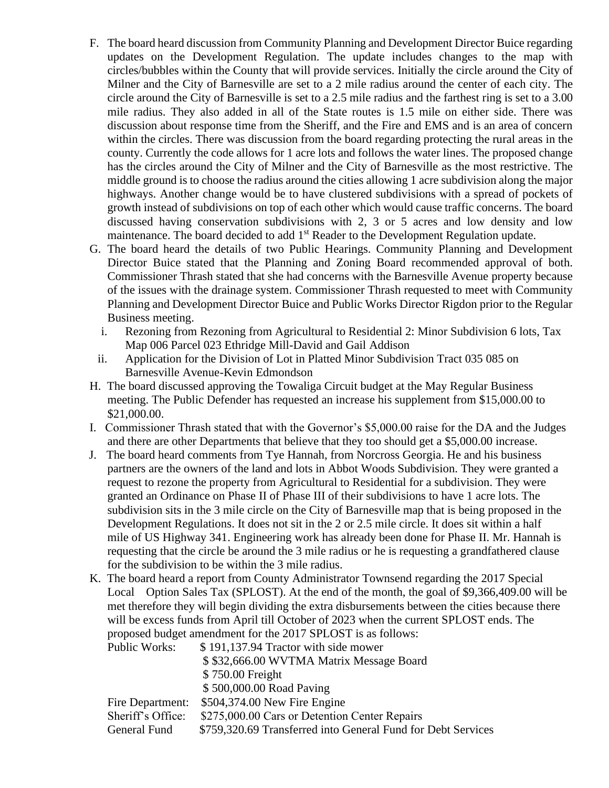- F. The board heard discussion from Community Planning and Development Director Buice regarding updates on the Development Regulation. The update includes changes to the map with circles/bubbles within the County that will provide services. Initially the circle around the City of Milner and the City of Barnesville are set to a 2 mile radius around the center of each city. The circle around the City of Barnesville is set to a 2.5 mile radius and the farthest ring is set to a 3.00 mile radius. They also added in all of the State routes is 1.5 mile on either side. There was discussion about response time from the Sheriff, and the Fire and EMS and is an area of concern within the circles. There was discussion from the board regarding protecting the rural areas in the county. Currently the code allows for 1 acre lots and follows the water lines. The proposed change has the circles around the City of Milner and the City of Barnesville as the most restrictive. The middle ground is to choose the radius around the cities allowing 1 acre subdivision along the major highways. Another change would be to have clustered subdivisions with a spread of pockets of growth instead of subdivisions on top of each other which would cause traffic concerns. The board discussed having conservation subdivisions with 2, 3 or 5 acres and low density and low maintenance. The board decided to add 1<sup>st</sup> Reader to the Development Regulation update.
- G. The board heard the details of two Public Hearings. Community Planning and Development Director Buice stated that the Planning and Zoning Board recommended approval of both. Commissioner Thrash stated that she had concerns with the Barnesville Avenue property because of the issues with the drainage system. Commissioner Thrash requested to meet with Community Planning and Development Director Buice and Public Works Director Rigdon prior to the Regular Business meeting.
	- i. Rezoning from Rezoning from Agricultural to Residential 2: Minor Subdivision 6 lots, Tax Map 006 Parcel 023 Ethridge Mill-David and Gail Addison
	- ii. Application for the Division of Lot in Platted Minor Subdivision Tract 035 085 on Barnesville Avenue-Kevin Edmondson
- H. The board discussed approving the Towaliga Circuit budget at the May Regular Business meeting. The Public Defender has requested an increase his supplement from \$15,000.00 to \$21,000.00.
- I. Commissioner Thrash stated that with the Governor's \$5,000.00 raise for the DA and the Judges and there are other Departments that believe that they too should get a \$5,000.00 increase.
- J. The board heard comments from Tye Hannah, from Norcross Georgia. He and his business partners are the owners of the land and lots in Abbot Woods Subdivision. They were granted a request to rezone the property from Agricultural to Residential for a subdivision. They were granted an Ordinance on Phase II of Phase III of their subdivisions to have 1 acre lots. The subdivision sits in the 3 mile circle on the City of Barnesville map that is being proposed in the Development Regulations. It does not sit in the 2 or 2.5 mile circle. It does sit within a half mile of US Highway 341. Engineering work has already been done for Phase II. Mr. Hannah is requesting that the circle be around the 3 mile radius or he is requesting a grandfathered clause for the subdivision to be within the 3 mile radius.
- K. The board heard a report from County Administrator Townsend regarding the 2017 Special Local Option Sales Tax (SPLOST). At the end of the month, the goal of \$9,366,409.00 will be met therefore they will begin dividing the extra disbursements between the cities because there will be excess funds from April till October of 2023 when the current SPLOST ends. The proposed budget amendment for the 2017 SPLOST is as follows:

| Public Works:     | \$191,137.94 Tractor with side mower                         |
|-------------------|--------------------------------------------------------------|
|                   | \$\$32,666.00 WVTMA Matrix Message Board                     |
|                   | \$750.00 Freight                                             |
|                   | \$500,000.00 Road Paving                                     |
| Fire Department:  | \$504,374.00 New Fire Engine                                 |
| Sheriff's Office: | \$275,000.00 Cars or Detention Center Repairs                |
| General Fund      | \$759,320.69 Transferred into General Fund for Debt Services |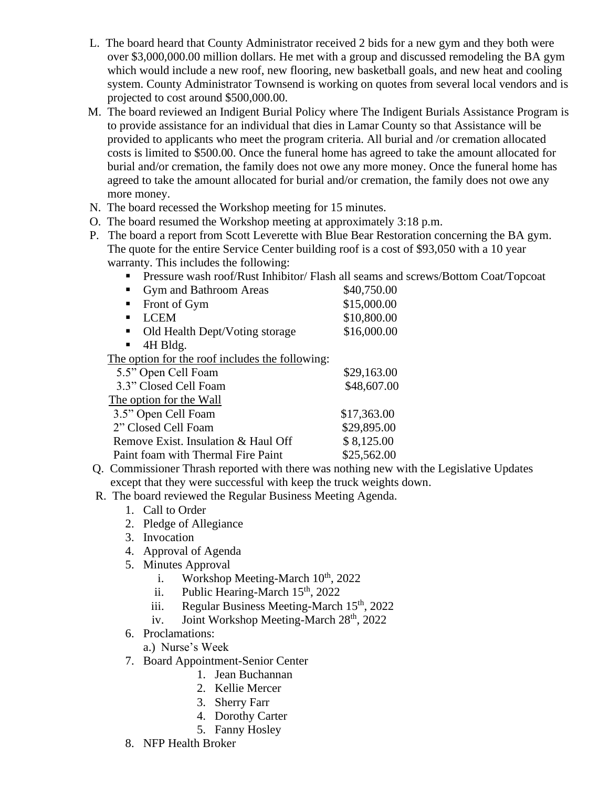- L. The board heard that County Administrator received 2 bids for a new gym and they both were over \$3,000,000.00 million dollars. He met with a group and discussed remodeling the BA gym which would include a new roof, new flooring, new basketball goals, and new heat and cooling system. County Administrator Townsend is working on quotes from several local vendors and is projected to cost around \$500,000.00.
- M. The board reviewed an Indigent Burial Policy where The Indigent Burials Assistance Program is to provide assistance for an individual that dies in Lamar County so that Assistance will be provided to applicants who meet the program criteria. All burial and /or cremation allocated costs is limited to \$500.00. Once the funeral home has agreed to take the amount allocated for burial and/or cremation, the family does not owe any more money. Once the funeral home has agreed to take the amount allocated for burial and/or cremation, the family does not owe any more money.
- N. The board recessed the Workshop meeting for 15 minutes.
- O. The board resumed the Workshop meeting at approximately 3:18 p.m.
- P. The board a report from Scott Leverette with Blue Bear Restoration concerning the BA gym. The quote for the entire Service Center building roof is a cost of \$93,050 with a 10 year warranty. This includes the following:
	- **Pressure wash roof/Rust Inhibitor/ Flash all seams and screws/Bottom Coat/Topcoat**

| Gym and Bathroom Areas                          | \$40,750.00 |  |
|-------------------------------------------------|-------------|--|
| Front of Gym                                    | \$15,000.00 |  |
| <b>LCEM</b><br>п                                | \$10,800.00 |  |
| Old Health Dept/Voting storage<br>п             | \$16,000.00 |  |
| 4H Bldg.<br>$\blacksquare$                      |             |  |
| The option for the roof includes the following: |             |  |
| 5.5" Open Cell Foam                             | \$29,163.00 |  |
| 3.3" Closed Cell Foam                           | \$48,607.00 |  |
| The option for the Wall                         |             |  |
| 3.5" Open Cell Foam                             | \$17,363.00 |  |
| 2" Closed Cell Foam                             | \$29,895.00 |  |

- Paint foam with Thermal Fire Paint \$25,562.00 Q. Commissioner Thrash reported with there was nothing new with the Legislative Updates except that they were successful with keep the truck weights down.
- R. The board reviewed the Regular Business Meeting Agenda.

Remove Exist. Insulation & Haul Off  $$ 8,125.00$ 

- 1. Call to Order
- 2. Pledge of Allegiance
- 3. Invocation
- 4. Approval of Agenda
- 5. Minutes Approval
	- i. Workshop Meeting-March  $10^{th}$ , 2022
	- ii. Public Hearing-March  $15<sup>th</sup>$ , 2022
	- iii. Regular Business Meeting-March  $15<sup>th</sup>$ , 2022
	- iv. Joint Workshop Meeting-March  $28<sup>th</sup>$ , 2022
- 6. Proclamations:
	- a.) Nurse's Week
- 7. Board Appointment-Senior Center
	- 1. Jean Buchannan
	- 2. Kellie Mercer
	- 3. Sherry Farr
	- 4. Dorothy Carter
	- 5. Fanny Hosley
- 8. NFP Health Broker